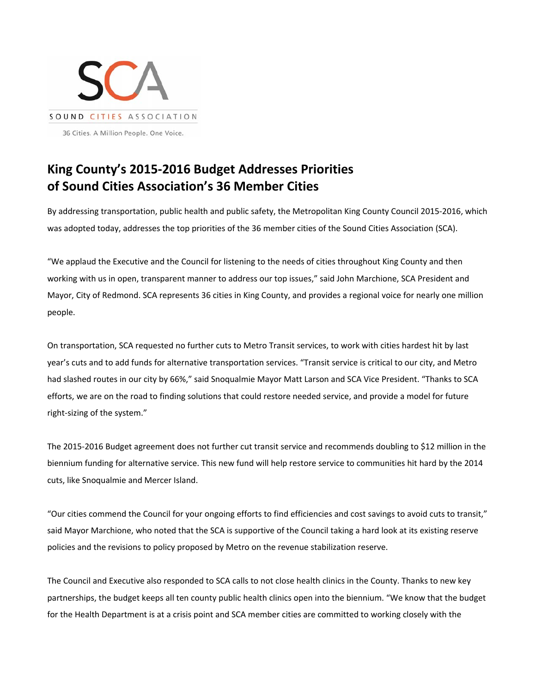

## **King County's 2015‐2016 Budget Addresses Priorities of Sound Cities Association's 36 Member Cities**

By addressing transportation, public health and public safety, the Metropolitan King County Council 2015‐2016, which was adopted today, addresses the top priorities of the 36 member cities of the Sound Cities Association (SCA).

"We applaud the Executive and the Council for listening to the needs of cities throughout King County and then working with us in open, transparent manner to address our top issues," said John Marchione, SCA President and Mayor, City of Redmond. SCA represents 36 cities in King County, and provides a regional voice for nearly one million people.

On transportation, SCA requested no further cuts to Metro Transit services, to work with cities hardest hit by last year's cuts and to add funds for alternative transportation services. "Transit service is critical to our city, and Metro had slashed routes in our city by 66%," said Snoqualmie Mayor Matt Larson and SCA Vice President. "Thanks to SCA efforts, we are on the road to finding solutions that could restore needed service, and provide a model for future right‐sizing of the system."

The 2015-2016 Budget agreement does not further cut transit service and recommends doubling to \$12 million in the biennium funding for alternative service. This new fund will help restore service to communities hit hard by the 2014 cuts, like Snoqualmie and Mercer Island.

"Our cities commend the Council for your ongoing efforts to find efficiencies and cost savings to avoid cuts to transit," said Mayor Marchione, who noted that the SCA is supportive of the Council taking a hard look at its existing reserve policies and the revisions to policy proposed by Metro on the revenue stabilization reserve.

The Council and Executive also responded to SCA calls to not close health clinics in the County. Thanks to new key partnerships, the budget keeps all ten county public health clinics open into the biennium. "We know that the budget for the Health Department is at a crisis point and SCA member cities are committed to working closely with the